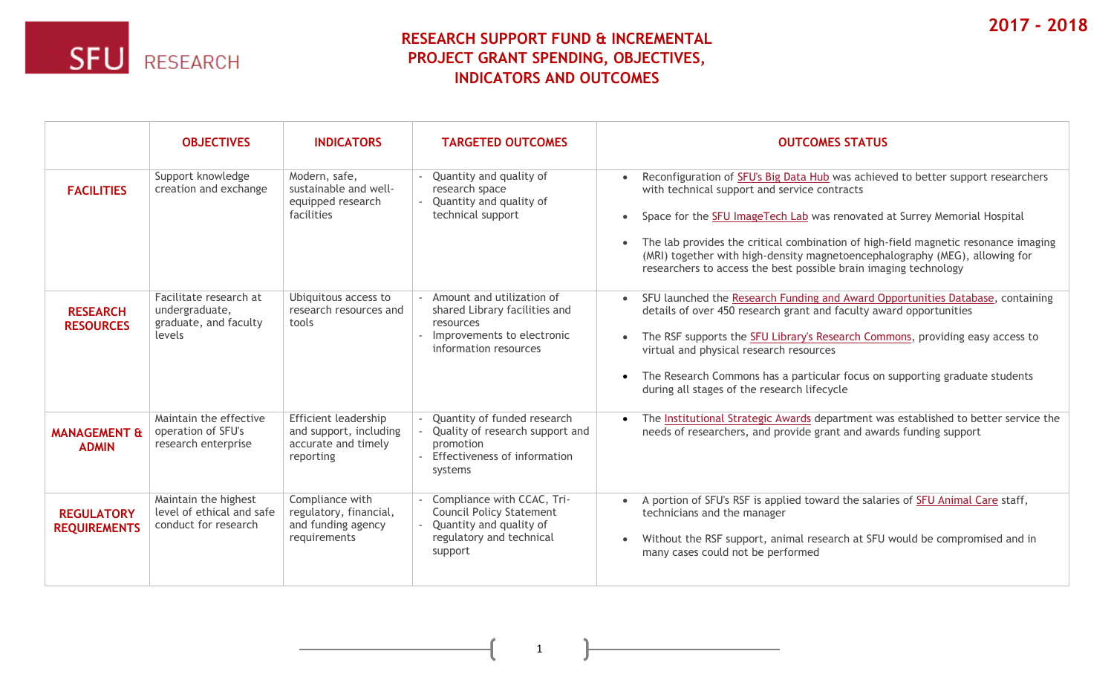

## **RESEARCH SUPPORT FUND & INCREMENTAL PROJECT GRANT SPENDING, OBJECTIVES, INDICATORS AND OUTCOMES**

|                                          | <b>OBJECTIVES</b>                                                           | <b>INDICATORS</b>                                                                         | <b>TARGETED OUTCOMES</b>                                                                                                            | <b>OUTCOMES STATUS</b>                                                                                                                                                                                                                                                                                                                                                                                                                                 |
|------------------------------------------|-----------------------------------------------------------------------------|-------------------------------------------------------------------------------------------|-------------------------------------------------------------------------------------------------------------------------------------|--------------------------------------------------------------------------------------------------------------------------------------------------------------------------------------------------------------------------------------------------------------------------------------------------------------------------------------------------------------------------------------------------------------------------------------------------------|
| <b>FACILITIES</b>                        | Support knowledge<br>creation and exchange                                  | Modern, safe,<br>sustainable and well-<br>equipped research<br>facilities                 | Quantity and quality of<br>research space<br>- Quantity and quality of<br>technical support                                         | Reconfiguration of SFU's Big Data Hub was achieved to better support researchers<br>with technical support and service contracts<br>Space for the SFU ImageTech Lab was renovated at Surrey Memorial Hospital<br>The lab provides the critical combination of high-field magnetic resonance imaging<br>(MRI) together with high-density magnetoencephalography (MEG), allowing for<br>researchers to access the best possible brain imaging technology |
| <b>RESEARCH</b><br><b>RESOURCES</b>      | Facilitate research at<br>undergraduate,<br>graduate, and faculty<br>levels | Ubiquitous access to<br>research resources and<br>tools                                   | - Amount and utilization of<br>shared Library facilities and<br>resources<br>Improvements to electronic<br>information resources    | SFU launched the Research Funding and Award Opportunities Database, containing<br>details of over 450 research grant and faculty award opportunities<br>The RSF supports the SFU Library's Research Commons, providing easy access to<br>virtual and physical research resources<br>The Research Commons has a particular focus on supporting graduate students<br>during all stages of the research lifecycle                                         |
| <b>MANAGEMENT &amp;</b><br><b>ADMIN</b>  | Maintain the effective<br>operation of SFU's<br>research enterprise         | <b>Efficient leadership</b><br>and support, including<br>accurate and timely<br>reporting | Quantity of funded research<br>Quality of research support and<br>promotion<br>Effectiveness of information<br>systems              | The Institutional Strategic Awards department was established to better service the<br>needs of researchers, and provide grant and awards funding support                                                                                                                                                                                                                                                                                              |
| <b>REGULATORY</b><br><b>REQUIREMENTS</b> | Maintain the highest<br>level of ethical and safe<br>conduct for research   | Compliance with<br>regulatory, financial,<br>and funding agency<br>requirements           | - Compliance with CCAC, Tri-<br><b>Council Policy Statement</b><br>- Quantity and quality of<br>regulatory and technical<br>support | A portion of SFU's RSF is applied toward the salaries of SFU Animal Care staff,<br>technicians and the manager<br>Without the RSF support, animal research at SFU would be compromised and in<br>many cases could not be performed                                                                                                                                                                                                                     |

1